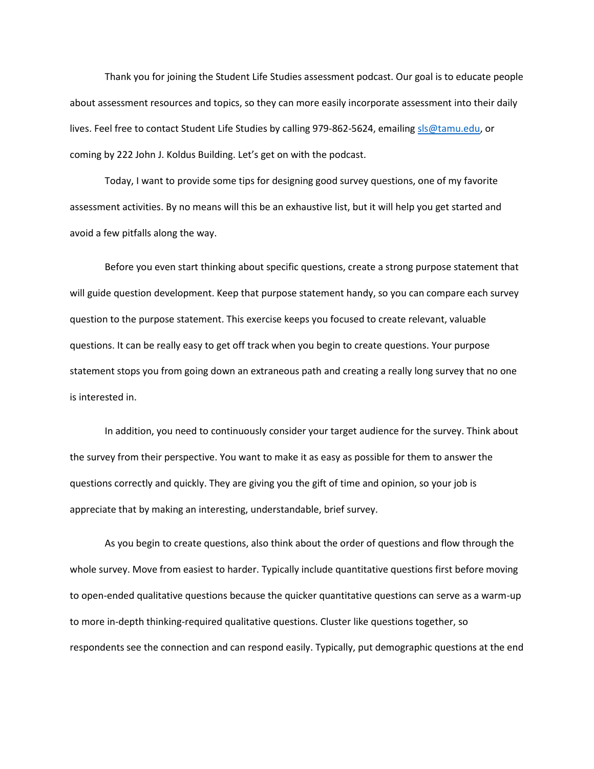Thank you for joining the Student Life Studies assessment podcast. Our goal is to educate people about assessment resources and topics, so they can more easily incorporate assessment into their daily lives. Feel free to contact Student Life Studies by calling 979-862-5624, emailin[g sls@tamu.edu,](mailto:sls@tamu.edu) or coming by 222 John J. Koldus Building. Let's get on with the podcast.

Today, I want to provide some tips for designing good survey questions, one of my favorite assessment activities. By no means will this be an exhaustive list, but it will help you get started and avoid a few pitfalls along the way.

Before you even start thinking about specific questions, create a strong purpose statement that will guide question development. Keep that purpose statement handy, so you can compare each survey question to the purpose statement. This exercise keeps you focused to create relevant, valuable questions. It can be really easy to get off track when you begin to create questions. Your purpose statement stops you from going down an extraneous path and creating a really long survey that no one is interested in.

In addition, you need to continuously consider your target audience for the survey. Think about the survey from their perspective. You want to make it as easy as possible for them to answer the questions correctly and quickly. They are giving you the gift of time and opinion, so your job is appreciate that by making an interesting, understandable, brief survey.

As you begin to create questions, also think about the order of questions and flow through the whole survey. Move from easiest to harder. Typically include quantitative questions first before moving to open-ended qualitative questions because the quicker quantitative questions can serve as a warm-up to more in-depth thinking-required qualitative questions. Cluster like questions together, so respondents see the connection and can respond easily. Typically, put demographic questions at the end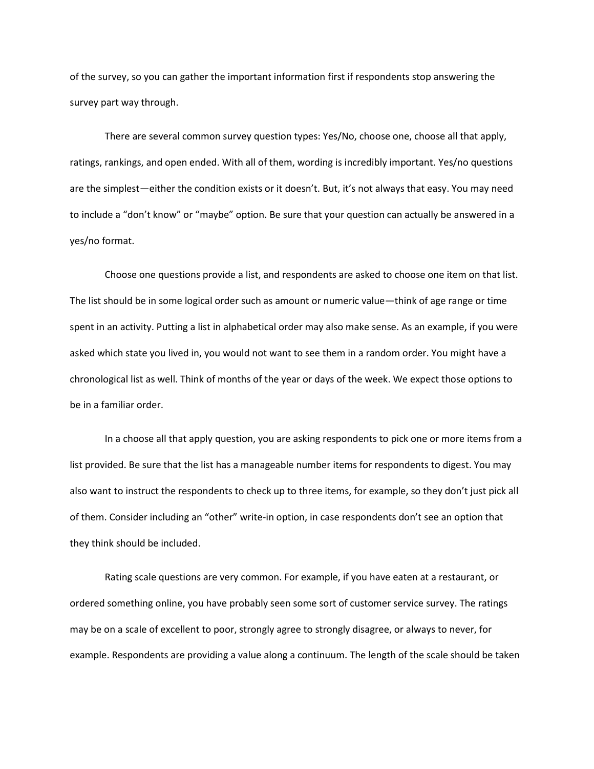of the survey, so you can gather the important information first if respondents stop answering the survey part way through.

There are several common survey question types: Yes/No, choose one, choose all that apply, ratings, rankings, and open ended. With all of them, wording is incredibly important. Yes/no questions are the simplest—either the condition exists or it doesn't. But, it's not always that easy. You may need to include a "don't know" or "maybe" option. Be sure that your question can actually be answered in a yes/no format.

Choose one questions provide a list, and respondents are asked to choose one item on that list. The list should be in some logical order such as amount or numeric value—think of age range or time spent in an activity. Putting a list in alphabetical order may also make sense. As an example, if you were asked which state you lived in, you would not want to see them in a random order. You might have a chronological list as well. Think of months of the year or days of the week. We expect those options to be in a familiar order.

In a choose all that apply question, you are asking respondents to pick one or more items from a list provided. Be sure that the list has a manageable number items for respondents to digest. You may also want to instruct the respondents to check up to three items, for example, so they don't just pick all of them. Consider including an "other" write-in option, in case respondents don't see an option that they think should be included.

Rating scale questions are very common. For example, if you have eaten at a restaurant, or ordered something online, you have probably seen some sort of customer service survey. The ratings may be on a scale of excellent to poor, strongly agree to strongly disagree, or always to never, for example. Respondents are providing a value along a continuum. The length of the scale should be taken